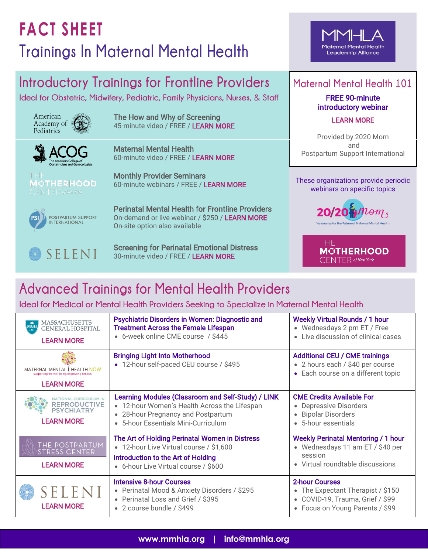# **FACT SHEET Trainings In Maternal Mental Health**

### Maternal Mental Health Leadership Alliance

### **Introductory Trainings for Frontline Providers**

**Ideal for Obstetric, Midwifery, Pediatric, Family Physicians, Nurses,** & **Staff**



[The How and Why of Screening](https://players.brightcove.net/6056665225001/KSSGZDkp6_default/index.html?videoId=6195697277001)  45-minute video / FREE / [LEARN MORE](https://players.brightcove.net/6056665225001/KSSGZDkp6_default/index.html?videoId=6195697277001)



Maternal Mental Health 60-minute video / FREE / [LEARN MORE](https://www.acog.org/education-and-events/webinars/maternal-mental-health)

Monthly Provider Seminars 60-minute webinars / FREE / [LEARN MORE](https://www.themotherhoodcenter.com/monthly-seminars)

Perinatal Mental Health for Frontline Providers On-demand or live webinar / \$250 / [LEARN MORE](https://www.postpartum.net/professionals/frontline-provider-trainings/) On-site option also available



Screening for Perinatal Emotional Distress 30-minute video / FREE / [LEARN MORE](https://training.seleni.org/p/screening-for-perinatal-emotional-distress)

### **Maternal Mental Health 101**

FREE 90-minute introductory webinar [LEARN MORE](https://www.postpartum.net/professionals/mmh-online-webinar/) 

Provided by 2020 Mom and Postpartum Support International

webinars on specific topics





## **Advanced Trainings for Mental Health Providers**

**Ideal for Medical or Mental Health Providers Seeking to Specialize in Maternal Mental Health**

| <b>MASSACHUSETTS</b><br><b>MGH</b><br><b>GENERAL HOSPITAL</b><br>1811<br><b>LEARN MORE</b>       | <b>Psychiatric Disorders in Women: Diagnostic and</b><br><b>Treatment Across the Female Lifespan</b><br>• 6-week online CME course / \$445                                      | <b>Weekly Virtual Rounds / 1 hour</b><br>• Wednesdays 2 pm ET / Free<br>• Live discussion of clinical cases                       |
|--------------------------------------------------------------------------------------------------|---------------------------------------------------------------------------------------------------------------------------------------------------------------------------------|-----------------------------------------------------------------------------------------------------------------------------------|
| MATERNAL MENTAL I HEALTH N<br>supporting the well-being of growing families<br><b>LEARN MORE</b> | <b>Bringing Light Into Motherhood</b><br>• 12-hour self-paced CEU course / \$495                                                                                                | <b>Additional CEU / CME trainings</b><br>• 2 hours each / \$40 per course<br>• Each course on a different topic                   |
| NATIONAL CURRICULUM IN<br><b>REPRODUCTIVE</b><br><b>PSYCHIATRY</b><br><b>LEARN MORE</b>          | Learning Modules (Classroom and Self-Study) / LINK<br>• 12-hour Women's Health Across the Lifespan<br>• 28-hour Pregnancy and Postpartum<br>• 5-hour Essentials Mini-Curriculum | <b>CME Credits Available For</b><br>• Depressive Disorders<br>• Bipolar Disorders<br>• 5-hour essentials                          |
| THE POSTPARTUM<br><b>STRESS CENTER</b><br><b>LEARN MORE</b>                                      | The Art of Holding Perinatal Women in Distress<br>• 12-hour Live Virtual course / \$1,600<br>Introduction to the Art of Holding<br>• 6-hour Live Virtual course / \$600         | <b>Weekly Perinatal Mentoring / 1 hour</b><br>• Wednesdays 11 am ET / \$40 per<br>session<br>• Virtual roundtable discussions     |
| SELENI<br><b>LEARN MORE</b>                                                                      | <b>Intensive 8-hour Courses</b><br>• Perinatal Mood & Anxiety Disorders / \$295<br>• Perinatal Loss and Grief / \$395<br>• 2 course bundle / \$499                              | <b>2-hour Courses</b><br>• The Expectant Therapist / \$150<br>• COVID-19, Trauma, Grief / \$99<br>• Focus on Young Parents / \$99 |

**MOTHERHOOD** 

 $\overline{\mathsf{C}}$ ENTER of New York POSTPARTUM SUPPORT<br>INTERNATIONAL